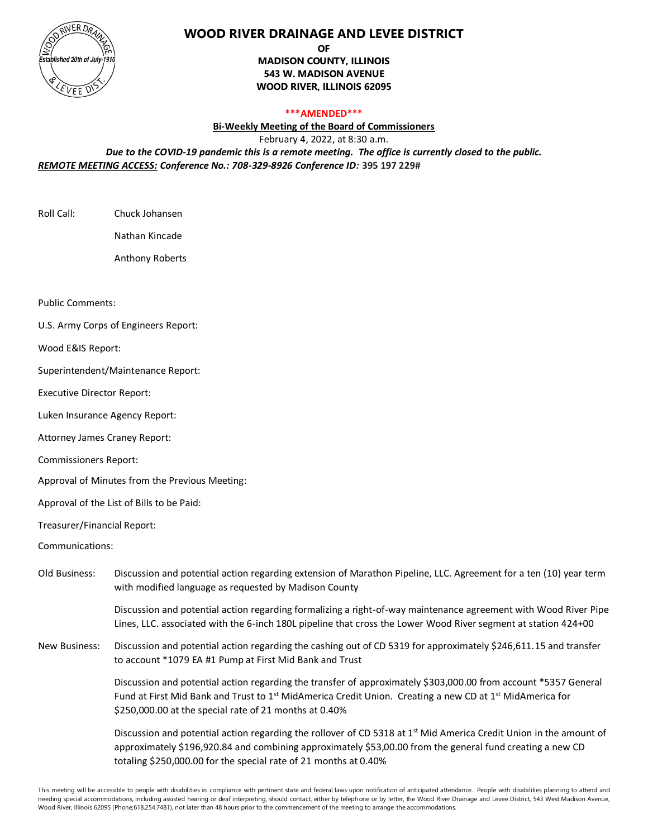

## **WOOD RIVER DRAINAGE AND LEVEE DISTRICT**

**OF**

**MADISON COUNTY, ILLINOIS 543 W. MADISON AVENUE WOOD RIVER, ILLINOIS 62095**

## **\*\*\*AMENDED\*\*\***

**Bi-Weekly Meeting of the Board of Commissioners**

February 4, 2022, at 8:30 a.m.

*Due to the COVID-19 pandemic this is a remote meeting. The office is currently closed to the public. REMOTE MEETING ACCESS: Conference No.: 708-329-8926 Conference ID:* **395 197 229#**

Roll Call: Chuck Johansen

Nathan Kincade

Anthony Roberts

Public Comments:

U.S. Army Corps of Engineers Report:

Wood E&IS Report:

Superintendent/Maintenance Report:

Executive Director Report:

Luken Insurance Agency Report:

Attorney James Craney Report:

Commissioners Report:

Approval of Minutes from the Previous Meeting:

Approval of the List of Bills to be Paid:

Treasurer/Financial Report:

Communications:

Old Business: Discussion and potential action regarding extension of Marathon Pipeline, LLC. Agreement for a ten (10) year term with modified language as requested by Madison County

> Discussion and potential action regarding formalizing a right-of-way maintenance agreement with Wood River Pipe Lines, LLC. associated with the 6-inch 180L pipeline that cross the Lower Wood River segment at station 424+00

New Business: Discussion and potential action regarding the cashing out of CD 5319 for approximately \$246,611.15 and transfer to account \*1079 EA #1 Pump at First Mid Bank and Trust

> Discussion and potential action regarding the transfer of approximately \$303,000.00 from account \*5357 General Fund at First Mid Bank and Trust to  $1<sup>st</sup>$  MidAmerica Credit Union. Creating a new CD at  $1<sup>st</sup>$  MidAmerica for \$250,000.00 at the special rate of 21 months at 0.40%

> Discussion and potential action regarding the rollover of CD 5318 at 1<sup>st</sup> Mid America Credit Union in the amount of approximately \$196,920.84 and combining approximately \$53,00.00 from the general fund creating a new CD totaling \$250,000.00 for the special rate of 21 months at 0.40%